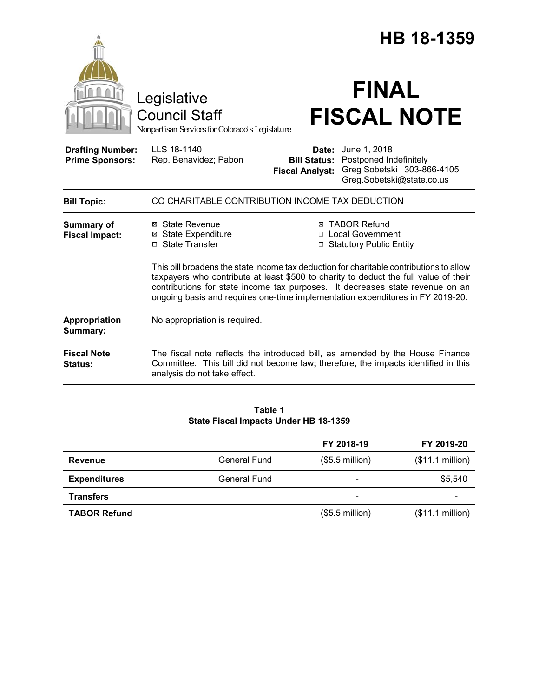|                                                   | Legislative<br><b>Council Staff</b><br>Nonpartisan Services for Colorado's Legislature                                                                                                                                                                                                                                                                                                                                                                                                       |                                               | HB 18-1359<br><b>FINAL</b><br><b>FISCAL NOTE</b>                                                                                                                    |  |
|---------------------------------------------------|----------------------------------------------------------------------------------------------------------------------------------------------------------------------------------------------------------------------------------------------------------------------------------------------------------------------------------------------------------------------------------------------------------------------------------------------------------------------------------------------|-----------------------------------------------|---------------------------------------------------------------------------------------------------------------------------------------------------------------------|--|
| <b>Drafting Number:</b><br><b>Prime Sponsors:</b> | LLS 18-1140<br>Rep. Benavidez; Pabon                                                                                                                                                                                                                                                                                                                                                                                                                                                         | <b>Bill Status:</b><br><b>Fiscal Analyst:</b> | <b>Date:</b> June 1, 2018<br>Postponed Indefinitely<br>Greg Sobetski   303-866-4105<br>Greg.Sobetski@state.co.us                                                    |  |
| <b>Bill Topic:</b>                                | CO CHARITABLE CONTRIBUTION INCOME TAX DEDUCTION                                                                                                                                                                                                                                                                                                                                                                                                                                              |                                               |                                                                                                                                                                     |  |
| <b>Summary of</b><br><b>Fiscal Impact:</b>        | ⊠ State Revenue<br>⊠ TABOR Refund<br>□ Local Government<br><b>⊠</b> State Expenditure<br>□ State Transfer<br>□ Statutory Public Entity<br>This bill broadens the state income tax deduction for charitable contributions to allow<br>taxpayers who contribute at least \$500 to charity to deduct the full value of their<br>contributions for state income tax purposes. It decreases state revenue on an<br>ongoing basis and requires one-time implementation expenditures in FY 2019-20. |                                               |                                                                                                                                                                     |  |
| Appropriation<br>Summary:                         | No appropriation is required.                                                                                                                                                                                                                                                                                                                                                                                                                                                                |                                               |                                                                                                                                                                     |  |
| <b>Fiscal Note</b><br>Status:                     | analysis do not take effect.                                                                                                                                                                                                                                                                                                                                                                                                                                                                 |                                               | The fiscal note reflects the introduced bill, as amended by the House Finance<br>Committee. This bill did not become law; therefore, the impacts identified in this |  |

## **Table 1 State Fiscal Impacts Under HB 18-1359**

|                     |                     | FY 2018-19                   | FY 2019-20       |
|---------------------|---------------------|------------------------------|------------------|
| <b>Revenue</b>      | <b>General Fund</b> | $($5.5$ million)             | (\$11.1 million) |
| <b>Expenditures</b> | General Fund        | $\qquad \qquad \blacksquare$ | \$5,540          |
| <b>Transfers</b>    |                     | $\overline{\phantom{0}}$     | -                |
| <b>TABOR Refund</b> |                     | $($5.5$ million)             | (\$11.1 million) |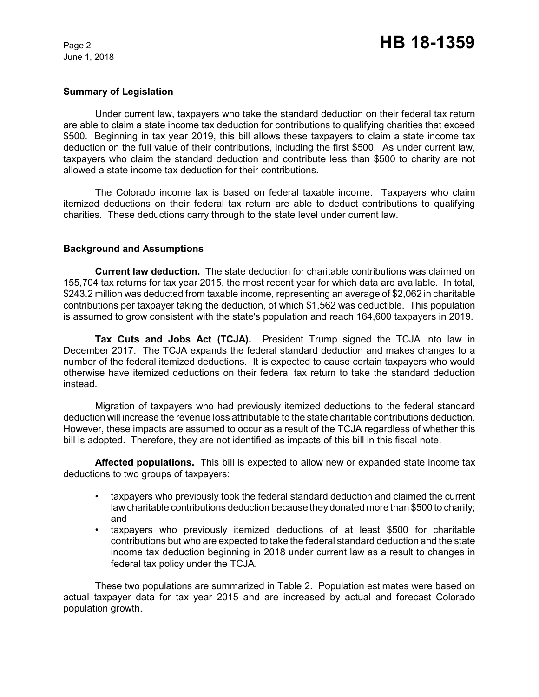June 1, 2018

## **Summary of Legislation**

Under current law, taxpayers who take the standard deduction on their federal tax return are able to claim a state income tax deduction for contributions to qualifying charities that exceed \$500. Beginning in tax year 2019, this bill allows these taxpayers to claim a state income tax deduction on the full value of their contributions, including the first \$500. As under current law, taxpayers who claim the standard deduction and contribute less than \$500 to charity are not allowed a state income tax deduction for their contributions.

The Colorado income tax is based on federal taxable income. Taxpayers who claim itemized deductions on their federal tax return are able to deduct contributions to qualifying charities. These deductions carry through to the state level under current law.

# **Background and Assumptions**

**Current law deduction.** The state deduction for charitable contributions was claimed on 155,704 tax returns for tax year 2015, the most recent year for which data are available. In total, \$243.2 million was deducted from taxable income, representing an average of \$2,062 in charitable contributions per taxpayer taking the deduction, of which \$1,562 was deductible. This population is assumed to grow consistent with the state's population and reach 164,600 taxpayers in 2019.

**Tax Cuts and Jobs Act (TCJA).** President Trump signed the TCJA into law in December 2017. The TCJA expands the federal standard deduction and makes changes to a number of the federal itemized deductions. It is expected to cause certain taxpayers who would otherwise have itemized deductions on their federal tax return to take the standard deduction instead.

Migration of taxpayers who had previously itemized deductions to the federal standard deduction will increase the revenue loss attributable to the state charitable contributions deduction. However, these impacts are assumed to occur as a result of the TCJA regardless of whether this bill is adopted. Therefore, they are not identified as impacts of this bill in this fiscal note.

**Affected populations.** This bill is expected to allow new or expanded state income tax deductions to two groups of taxpayers:

- taxpayers who previously took the federal standard deduction and claimed the current law charitable contributions deduction because they donated more than \$500 to charity; and
- taxpayers who previously itemized deductions of at least \$500 for charitable contributions but who are expected to take the federal standard deduction and the state income tax deduction beginning in 2018 under current law as a result to changes in federal tax policy under the TCJA.

These two populations are summarized in Table 2. Population estimates were based on actual taxpayer data for tax year 2015 and are increased by actual and forecast Colorado population growth.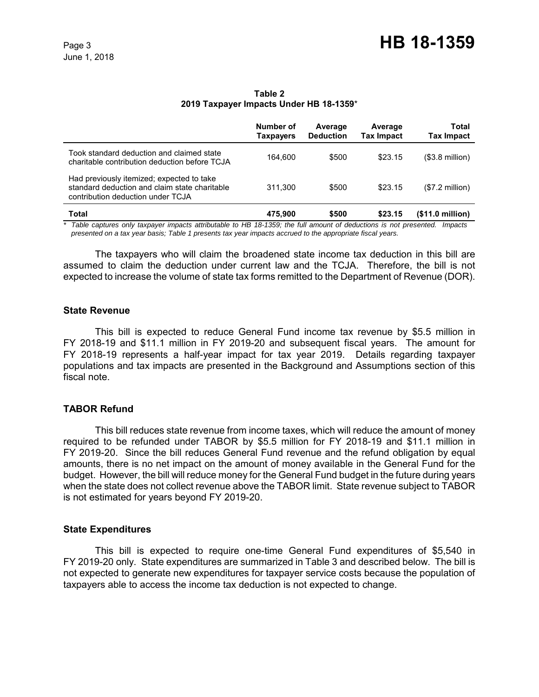|                                                                                                                                 | Number of<br><b>Taxpayers</b> | Average<br><b>Deduction</b> | Average<br><b>Tax Impact</b> | Total<br><b>Tax Impact</b> |
|---------------------------------------------------------------------------------------------------------------------------------|-------------------------------|-----------------------------|------------------------------|----------------------------|
| Took standard deduction and claimed state<br>charitable contribution deduction before TCJA                                      | 164.600                       | \$500                       | \$23.15                      | $($3.8$ million $)$        |
| Had previously itemized; expected to take<br>standard deduction and claim state charitable<br>contribution deduction under TCJA | 311.300                       | \$500                       | \$23.15                      | (\$7.2 million)            |
| Total                                                                                                                           | 475.900                       | \$500                       | \$23.15                      | (\$11.0 million)           |

## **Table 2 2019 Taxpayer Impacts Under HB 18-1359**\*

*\* Table captures only taxpayer impacts attributable to HB 18-1359; the full amount of deductions is not presented. Impacts presented on a tax year basis; Table 1 presents tax year impacts accrued to the appropriate fiscal years.*

The taxpayers who will claim the broadened state income tax deduction in this bill are assumed to claim the deduction under current law and the TCJA. Therefore, the bill is not expected to increase the volume of state tax forms remitted to the Department of Revenue (DOR).

# **State Revenue**

This bill is expected to reduce General Fund income tax revenue by \$5.5 million in FY 2018-19 and \$11.1 million in FY 2019-20 and subsequent fiscal years. The amount for FY 2018-19 represents a half-year impact for tax year 2019. Details regarding taxpayer populations and tax impacts are presented in the Background and Assumptions section of this fiscal note.

# **TABOR Refund**

This bill reduces state revenue from income taxes, which will reduce the amount of money required to be refunded under TABOR by \$5.5 million for FY 2018-19 and \$11.1 million in FY 2019-20. Since the bill reduces General Fund revenue and the refund obligation by equal amounts, there is no net impact on the amount of money available in the General Fund for the budget. However, the bill will reduce money for the General Fund budget in the future during years when the state does not collect revenue above the TABOR limit. State revenue subject to TABOR is not estimated for years beyond FY 2019-20.

# **State Expenditures**

This bill is expected to require one-time General Fund expenditures of \$5,540 in FY 2019-20 only. State expenditures are summarized in Table 3 and described below. The bill is not expected to generate new expenditures for taxpayer service costs because the population of taxpayers able to access the income tax deduction is not expected to change.